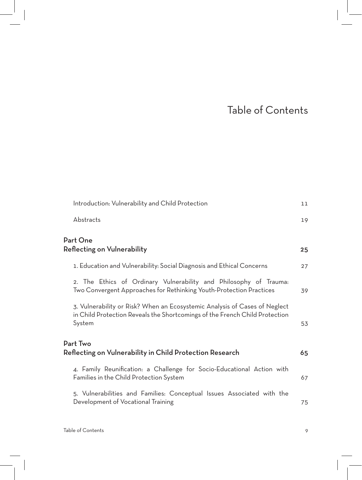## Table of Contents

| Introduction: Vulnerability and Child Protection                                                                                                                    | 11 |
|---------------------------------------------------------------------------------------------------------------------------------------------------------------------|----|
| Abstracts                                                                                                                                                           | 19 |
| Part One<br>Reflecting on Vulnerability                                                                                                                             | 25 |
| 1. Education and Vulnerability: Social Diagnosis and Ethical Concerns                                                                                               | 27 |
| 2. The Ethics of Ordinary Vulnerability and Philosophy of Trauma:<br>Two Convergent Approaches for Rethinking Youth-Protection Practices                            | 39 |
| 3. Vulnerability or Risk? When an Ecosystemic Analysis of Cases of Neglect<br>in Child Protection Reveals the Shortcomings of the French Child Protection<br>System | 53 |
| Part Two<br>Reflecting on Vulnerability in Child Protection Research                                                                                                | 65 |
| 4. Family Reunification: a Challenge for Socio-Educational Action with<br>Families in the Child Protection System                                                   | 67 |
| 5. Vulnerabilities and Families: Conceptual Issues Associated with the<br>Development of Vocational Training                                                        | 75 |